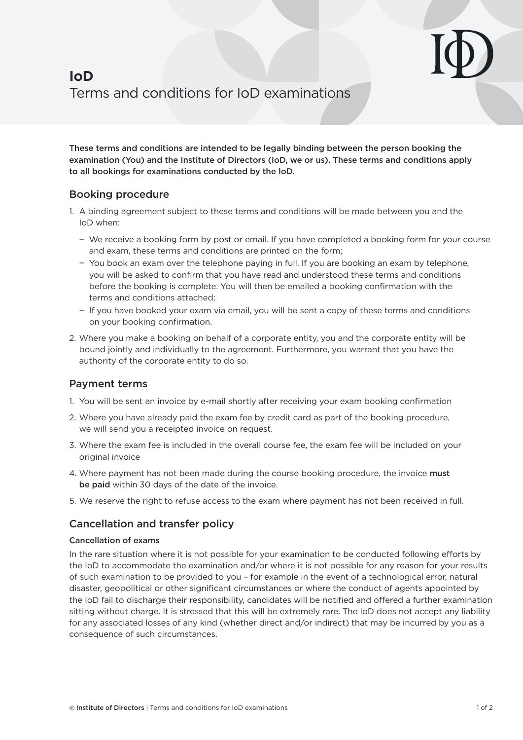These terms and conditions are intended to be legally binding between the person booking the examination (You) and the Institute of Directors (IoD, we or us). These terms and conditions apply to all bookings for examinations conducted by the IoD.

### Booking procedure

- 1. A binding agreement subject to these terms and conditions will be made between you and the IoD when:
	- − We receive a booking form by post or email. If you have completed a booking form for your course and exam, these terms and conditions are printed on the form;
	- − You book an exam over the telephone paying in full. If you are booking an exam by telephone, you will be asked to confirm that you have read and understood these terms and conditions before the booking is complete. You will then be emailed a booking confirmation with the terms and conditions attached;
	- − If you have booked your exam via email, you will be sent a copy of these terms and conditions on your booking confirmation.
- 2. Where you make a booking on behalf of a corporate entity, you and the corporate entity will be bound jointly and individually to the agreement. Furthermore, you warrant that you have the authority of the corporate entity to do so.

## Payment terms

- 1. You will be sent an invoice by e-mail shortly after receiving your exam booking confirmation
- 2. Where you have already paid the exam fee by credit card as part of the booking procedure, we will send you a receipted invoice on request.
- 3. Where the exam fee is included in the overall course fee, the exam fee will be included on your original invoice
- 4. Where payment has not been made during the course booking procedure, the invoice must be paid within 30 days of the date of the invoice.
- 5. We reserve the right to refuse access to the exam where payment has not been received in full.

## Cancellation and transfer policy

#### Cancellation of exams

In the rare situation where it is not possible for your examination to be conducted following efforts by the IoD to accommodate the examination and/or where it is not possible for any reason for your results of such examination to be provided to you – for example in the event of a technological error, natural disaster, geopolitical or other significant circumstances or where the conduct of agents appointed by the IoD fail to discharge their responsibility, candidates will be notified and offered a further examination sitting without charge. It is stressed that this will be extremely rare. The IoD does not accept any liability for any associated losses of any kind (whether direct and/or indirect) that may be incurred by you as a consequence of such circumstances.